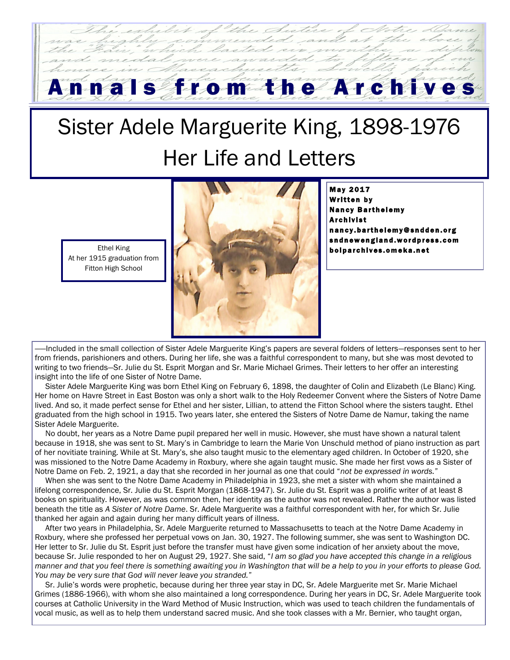## From the Archive

## Sister Adele Marguerite King, 1898-1976 Her Life and Letters

Ethel King At her 1915 graduation from Fitton High School



**May 2017** Written by **Nancy Barthelemy** Archivist n an c y . ba r t h e l em y @ s n d d e n . o r g sn d n ew england.word press.com b olparch ives. om eka.net

Included in the small collection of Sister Adele Marguerite King's papers are several folders of letters–responses sent to her from friends, parishioners and others. During her life, she was a faithful correspondent to many, but she was most devoted to writing to two friends—Sr. Julie du St. Esprit Morgan and Sr. Marie Michael Grimes. Their letters to her offer an interesting insight into the life of one Sister of Notre Dame.

 Sister Adele Marguerite King was born Ethel King on February 6, 1898, the daughter of Colin and Elizabeth (Le Blanc) King. Her home on Havre Street in East Boston was only a short walk to the Holy Redeemer Convent where the Sisters of Notre Dame lived. And so, it made perfect sense for Ethel and her sister, Lillian, to attend the Fitton School where the sisters taught. Ethel graduated from the high school in 1915. Two years later, she entered the Sisters of Notre Dame de Namur, taking the name Sister Adele Marguerite.

 No doubt, her years as a Notre Dame pupil prepared her well in music. However, she must have shown a natural talent because in 1918, she was sent to St. Mary's in Cambridge to learn the Marie Von Unschuld method of piano instruction as part of her novitiate training. While at St. Mary's, she also taught music to the elementary aged children. In October of 1920, she was missioned to the Notre Dame Academy in Roxbury, where she again taught music. She made her first vows as a Sister of Notre Dame on Feb. 2, 1921, a day that she recorded in her journal as one that could "*not be expressed in words.*"

 When she was sent to the Notre Dame Academy in Philadelphia in 1923, she met a sister with whom she maintained a lifelong correspondence, Sr. Julie du St. Esprit Morgan (1868-1947). Sr. Julie du St. Esprit was a prolific writer of at least 8 books on spirituality. However, as was common then, her identity as the author was not revealed. Rather the author was listed beneath the title as *A Sister of Notre Dame*. Sr. Adele Marguerite was a faithful correspondent with her, for which Sr. Julie thanked her again and again during her many difficult years of illness.

 After two years in Philadelphia, Sr. Adele Marguerite returned to Massachusetts to teach at the Notre Dame Academy in Roxbury, where she professed her perpetual vows on Jan. 30, 1927. The following summer, she was sent to Washington DC. Her letter to Sr. Julie du St. Esprit just before the transfer must have given some indication of her anxiety about the move, because Sr. Julie responded to her on August 29, 1927. She said, "*I am so glad you have accepted this change in a religious manner and that you feel there is something awaiting you in Washington that will be a help to you in your efforts to please God. You may be very sure that God will never leave you stranded.*"

 Sr. Julie's words were prophetic, because during her three year stay in DC, Sr. Adele Marguerite met Sr. Marie Michael Grimes (1886-1966), with whom she also maintained a long correspondence. During her years in DC, Sr. Adele Marguerite took courses at Catholic University in the Ward Method of Music Instruction, which was used to teach children the fundamentals of vocal music, as well as to help them understand sacred music. And she took classes with a Mr. Bernier, who taught organ,